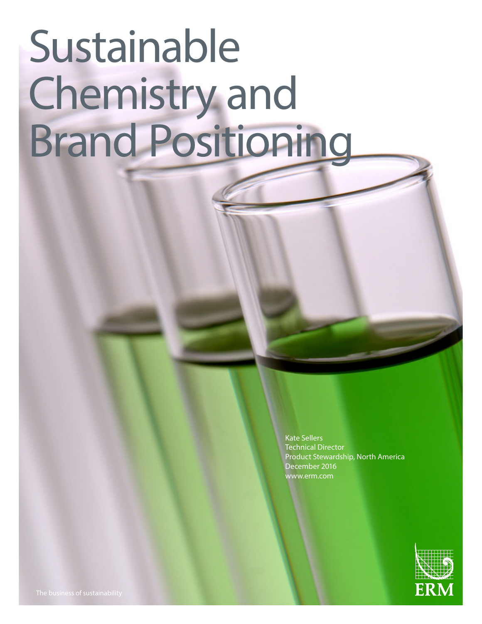# Sustainable Chemistry and Brand Positioning

Kate Sellers Technical Director Product Stewardship, North America December 2016 www.erm.com

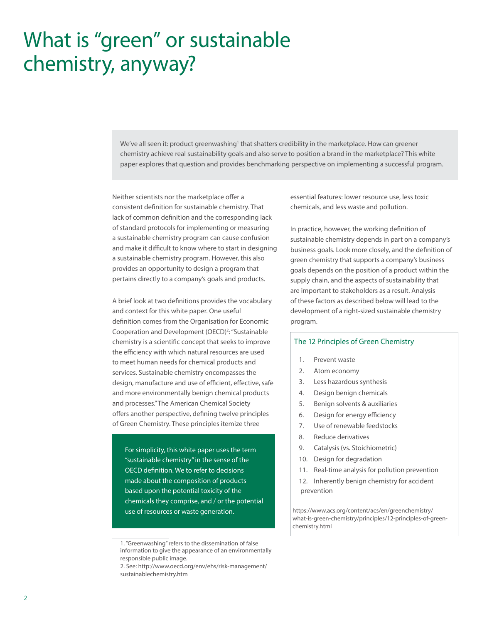## What is "green" or sustainable chemistry, anyway?

We've all seen it: product greenwashing1 that shatters credibility in the marketplace. How can greener chemistry achieve real sustainability goals and also serve to position a brand in the marketplace? This white paper explores that question and provides benchmarking perspective on implementing a successful program.

Neither scientists nor the marketplace offer a consistent definition for sustainable chemistry. That lack of common definition and the corresponding lack of standard protocols for implementing or measuring a sustainable chemistry program can cause confusion and make it difficult to know where to start in designing a sustainable chemistry program. However, this also provides an opportunity to design a program that pertains directly to a company's goals and products.

A brief look at two definitions provides the vocabulary and context for this white paper. One useful definition comes from the Organisation for Economic Cooperation and Development (OECD)<sup>2</sup>: "Sustainable chemistry is a scientific concept that seeks to improve the efficiency with which natural resources are used to meet human needs for chemical products and services. Sustainable chemistry encompasses the design, manufacture and use of efficient, effective, safe and more environmentally benign chemical products and processes." The American Chemical Society offers another perspective, defining twelve principles of Green Chemistry. These principles itemize three

For simplicity, this white paper uses the term "sustainable chemistry" in the sense of the OECD definition. We to refer to decisions made about the composition of products based upon the potential toxicity of the chemicals they comprise, and / or the potential use of resources or waste generation.

essential features: lower resource use, less toxic chemicals, and less waste and pollution.

In practice, however, the working definition of sustainable chemistry depends in part on a company's business goals. Look more closely, and the definition of green chemistry that supports a company's business goals depends on the position of a product within the supply chain, and the aspects of sustainability that are important to stakeholders as a result. Analysis of these factors as described below will lead to the development of a right-sized sustainable chemistry program.

#### The 12 Principles of Green Chemistry

- 1. Prevent waste
- 2. Atom economy
- 3. Less hazardous synthesis
- 4. Design benign chemicals
- 5. Benign solvents & auxiliaries
- 6. Design for energy efficiency
- 7. Use of renewable feedstocks
- 8. Reduce derivatives
- 9. Catalysis (vs. Stoichiometric)
- 10. Design for degradation
- 11. Real-time analysis for pollution prevention
- 12. Inherently benign chemistry for accident prevention

https://www.acs.org/content/acs/en/greenchemistry/ what-is-green-chemistry/principles/12-principles-of-greenchemistry.html

<sup>1. &</sup>quot;Greenwashing" refers to the dissemination of false information to give the appearance of an environmentally responsible public image.

<sup>2.</sup> See: http://www.oecd.org/env/ehs/risk-management/ sustainablechemistry.htm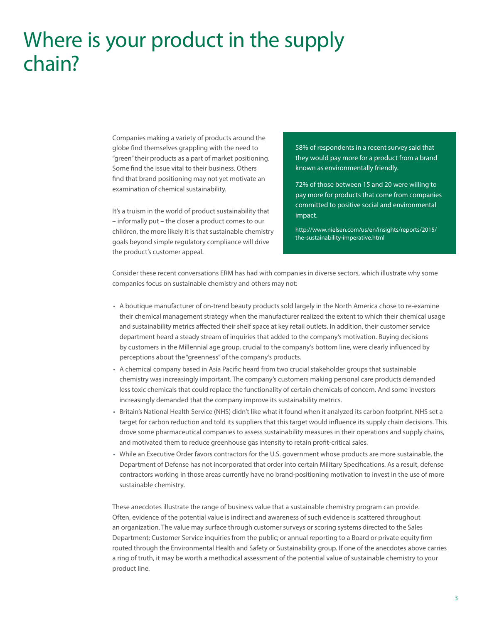### Where is your product in the supply chain?

Companies making a variety of products around the globe find themselves grappling with the need to "green" their products as a part of market positioning. Some find the issue vital to their business. Others find that brand positioning may not yet motivate an examination of chemical sustainability.

It's a truism in the world of product sustainability that – informally put – the closer a product comes to our children, the more likely it is that sustainable chemistry goals beyond simple regulatory compliance will drive the product's customer appeal.

58% of respondents in a recent survey said that they would pay more for a product from a brand known as environmentally friendly.

72% of those between 15 and 20 were willing to pay more for products that come from companies committed to positive social and environmental impact.

http://www.nielsen.com/us/en/insights/reports/2015/ the-sustainability-imperative.html

Consider these recent conversations ERM has had with companies in diverse sectors, which illustrate why some companies focus on sustainable chemistry and others may not:

- A boutique manufacturer of on-trend beauty products sold largely in the North America chose to re-examine their chemical management strategy when the manufacturer realized the extent to which their chemical usage and sustainability metrics affected their shelf space at key retail outlets. In addition, their customer service department heard a steady stream of inquiries that added to the company's motivation. Buying decisions by customers in the Millennial age group, crucial to the company's bottom line, were clearly influenced by perceptions about the "greenness" of the company's products.
- A chemical company based in Asia Pacific heard from two crucial stakeholder groups that sustainable chemistry was increasingly important. The company's customers making personal care products demanded less toxic chemicals that could replace the functionality of certain chemicals of concern. And some investors increasingly demanded that the company improve its sustainability metrics.
- Britain's National Health Service (NHS) didn't like what it found when it analyzed its carbon footprint. NHS set a target for carbon reduction and told its suppliers that this target would influence its supply chain decisions. This drove some pharmaceutical companies to assess sustainability measures in their operations and supply chains, and motivated them to reduce greenhouse gas intensity to retain profit-critical sales.
- While an Executive Order favors contractors for the U.S. government whose products are more sustainable, the Department of Defense has not incorporated that order into certain Military Specifications. As a result, defense contractors working in those areas currently have no brand-positioning motivation to invest in the use of more sustainable chemistry.

These anecdotes illustrate the range of business value that a sustainable chemistry program can provide. Often, evidence of the potential value is indirect and awareness of such evidence is scattered throughout an organization. The value may surface through customer surveys or scoring systems directed to the Sales Department; Customer Service inquiries from the public; or annual reporting to a Board or private equity firm routed through the Environmental Health and Safety or Sustainability group. If one of the anecdotes above carries a ring of truth, it may be worth a methodical assessment of the potential value of sustainable chemistry to your product line.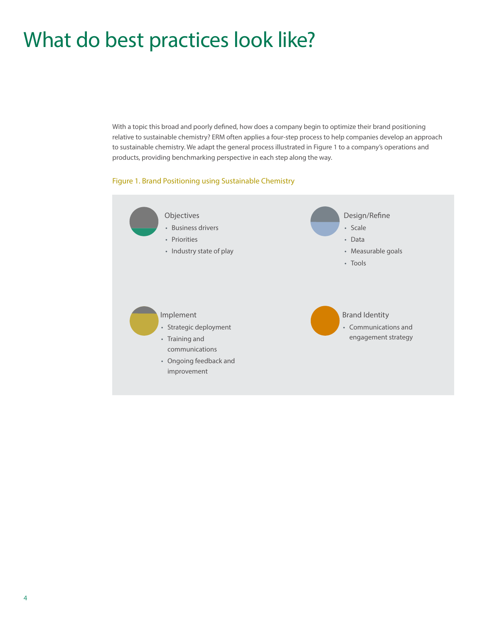## What do best practices look like?

With a topic this broad and poorly defined, how does a company begin to optimize their brand positioning relative to sustainable chemistry? ERM often applies a four-step process to help companies develop an approach to sustainable chemistry. We adapt the general process illustrated in Figure 1 to a company's operations and products, providing benchmarking perspective in each step along the way.

#### Figure 1. Brand Positioning using Sustainable Chemistry

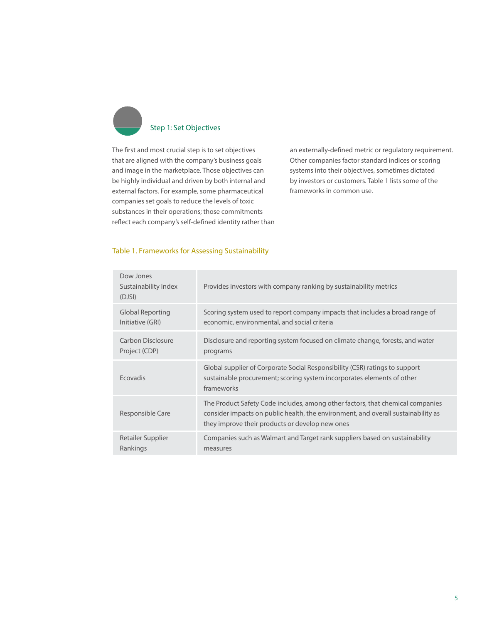

The first and most crucial step is to set objectives that are aligned with the company's business goals and image in the marketplace. Those objectives can be highly individual and driven by both internal and external factors. For example, some pharmaceutical companies set goals to reduce the levels of toxic substances in their operations; those commitments reflect each company's self-defined identity rather than an externally-defined metric or regulatory requirement. Other companies factor standard indices or scoring systems into their objectives, sometimes dictated by investors or customers. Table 1 lists some of the frameworks in common use.

#### Table 1. Frameworks for Assessing Sustainability

| Dow Jones<br>Sustainability Index<br>(DJSI) | Provides investors with company ranking by sustainability metrics                                                                                                                                                      |
|---------------------------------------------|------------------------------------------------------------------------------------------------------------------------------------------------------------------------------------------------------------------------|
| Global Reporting<br>Initiative (GRI)        | Scoring system used to report company impacts that includes a broad range of<br>economic, environmental, and social criteria                                                                                           |
| Carbon Disclosure<br>Project (CDP)          | Disclosure and reporting system focused on climate change, forests, and water<br>programs                                                                                                                              |
| <b>Frovadis</b>                             | Global supplier of Corporate Social Responsibility (CSR) ratings to support<br>sustainable procurement; scoring system incorporates elements of other<br>frameworks                                                    |
| Responsible Care                            | The Product Safety Code includes, among other factors, that chemical companies<br>consider impacts on public health, the environment, and overall sustainability as<br>they improve their products or develop new ones |
| Retailer Supplier<br>Rankings               | Companies such as Walmart and Target rank suppliers based on sustainability<br>measures                                                                                                                                |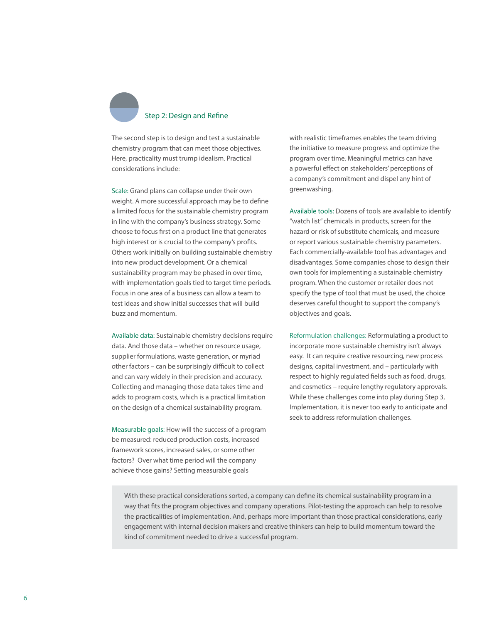

The second step is to design and test a sustainable chemistry program that can meet those objectives. Here, practicality must trump idealism. Practical considerations include:

Scale: Grand plans can collapse under their own weight. A more successful approach may be to define a limited focus for the sustainable chemistry program in line with the company's business strategy. Some choose to focus first on a product line that generates high interest or is crucial to the company's profits. Others work initially on building sustainable chemistry into new product development. Or a chemical sustainability program may be phased in over time, with implementation goals tied to target time periods. Focus in one area of a business can allow a team to test ideas and show initial successes that will build buzz and momentum.

Available data: Sustainable chemistry decisions require data. And those data – whether on resource usage, supplier formulations, waste generation, or myriad other factors – can be surprisingly difficult to collect and can vary widely in their precision and accuracy. Collecting and managing those data takes time and adds to program costs, which is a practical limitation on the design of a chemical sustainability program.

Measurable goals: How will the success of a program be measured: reduced production costs, increased framework scores, increased sales, or some other factors? Over what time period will the company achieve those gains? Setting measurable goals

with realistic timeframes enables the team driving the initiative to measure progress and optimize the program over time. Meaningful metrics can have a powerful effect on stakeholders' perceptions of a company's commitment and dispel any hint of greenwashing.

Available tools: Dozens of tools are available to identify "watch list" chemicals in products, screen for the hazard or risk of substitute chemicals, and measure or report various sustainable chemistry parameters. Each commercially-available tool has advantages and disadvantages. Some companies chose to design their own tools for implementing a sustainable chemistry program. When the customer or retailer does not specify the type of tool that must be used, the choice deserves careful thought to support the company's objectives and goals.

Reformulation challenges: Reformulating a product to incorporate more sustainable chemistry isn't always easy. It can require creative resourcing, new process designs, capital investment, and – particularly with respect to highly regulated fields such as food, drugs, and cosmetics – require lengthy regulatory approvals. While these challenges come into play during Step 3, Implementation, it is never too early to anticipate and seek to address reformulation challenges.

With these practical considerations sorted, a company can define its chemical sustainability program in a way that fits the program objectives and company operations. Pilot-testing the approach can help to resolve the practicalities of implementation. And, perhaps more important than those practical considerations, early engagement with internal decision makers and creative thinkers can help to build momentum toward the kind of commitment needed to drive a successful program.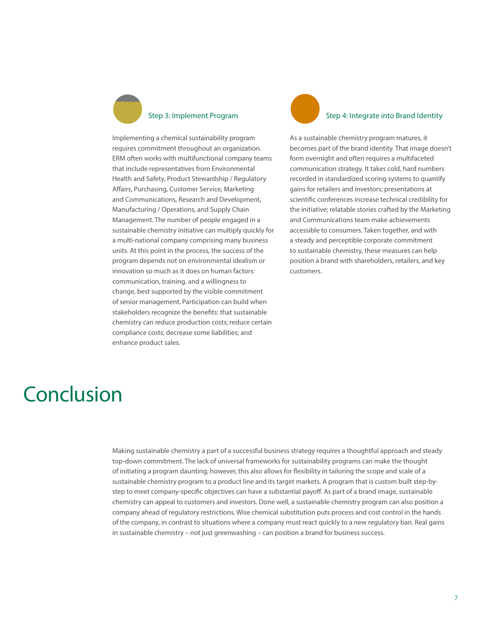

Implementing a chemical sustainability program requires commitment throughout an organization. ERM often works with multifunctional company teams that include representatives from Environmental Health and Safety, Product Stewardship / Regulatory Affairs, Purchasing, Customer Service, Marketing and Communications, Research and Development, Manufacturing / Operations, and Supply Chain Management. The number of people engaged in a sustainable chemistry initiative can multiply quickly for a multi-national company comprising many business units. At this point in the process, the success of the program depends not on environmental idealism or innovation so much as it does on human factors: communication, training, and a willingness to change, best supported by the visible commitment of senior management. Participation can build when stakeholders recognize the benefits: that sustainable chemistry can reduce production costs; reduce certain compliance costs; decrease some liabilities; and enhance product sales.



#### Step 4: Integrate into Brand Identity

As a sustainable chemistry program matures, it becomes part of the brand identity. That image doesn't form overnight and often requires a multifaceted communication strategy. It takes cold, hard numbers recorded in standardized scoring systems to quantify gains for retailers and investors; presentations at scientific conferences increase technical credibility for the initiative; relatable stories crafted by the Marketing and Communications team make achievements accessible to consumers. Taken together, and with a steady and perceptible corporate commitment to sustainable chemistry, these measures can help position a brand with shareholders, retailers, and key customers.

### Conclusion

Making sustainable chemistry a part of a successful business strategy requires a thoughtful approach and steady top-down commitment. The lack of universal frameworks for sustainability programs can make the thought of initiating a program daunting; however, this also allows for flexibility in tailoring the scope and scale of a sustainable chemistry program to a product line and its target markets. A program that is custom built step-bystep to meet company-specific objectives can have a substantial payoff. As part of a brand image, sustainable chemistry can appeal to customers and investors. Done well, a sustainable chemistry program can also position a company ahead of regulatory restrictions. Wise chemical substitution puts process and cost control in the hands of the company, in contrast to situations where a company must react quickly to a new regulatory ban. Real gains in sustainable chemistry – not just greenwashing – can position a brand for business success.